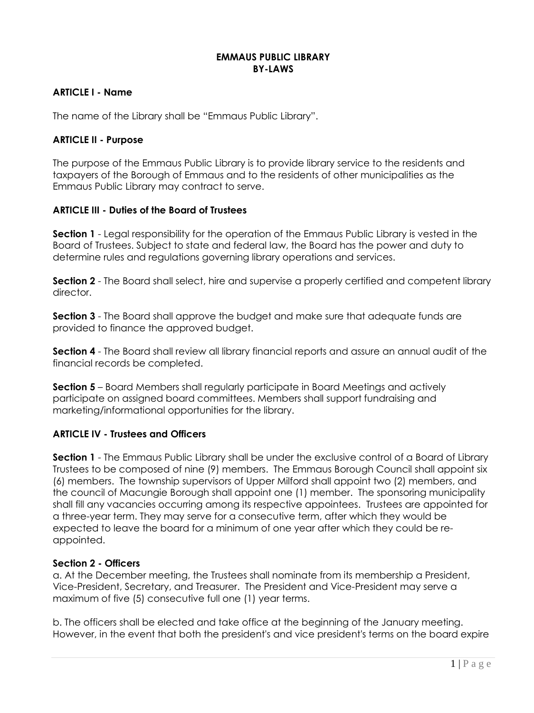#### **EMMAUS PUBLIC LIBRARY BY-LAWS**

## **ARTICLE I - Name**

The name of the Library shall be "Emmaus Public Library".

## **ARTICLE II - Purpose**

The purpose of the Emmaus Public Library is to provide library service to the residents and taxpayers of the Borough of Emmaus and to the residents of other municipalities as the Emmaus Public Library may contract to serve.

## **ARTICLE III - Duties of the Board of Trustees**

**Section 1** - Legal responsibility for the operation of the Emmaus Public Library is vested in the Board of Trustees. Subject to state and federal law, the Board has the power and duty to determine rules and regulations governing library operations and services.

**Section 2** - The Board shall select, hire and supervise a properly certified and competent library director.

**Section 3** - The Board shall approve the budget and make sure that adequate funds are provided to finance the approved budget.

**Section 4** - The Board shall review all library financial reports and assure an annual audit of the financial records be completed.

**Section 5** – Board Members shall regularly participate in Board Meetings and actively participate on assigned board committees. Members shall support fundraising and marketing/informational opportunities for the library.

## **ARTICLE IV - Trustees and Officers**

**Section 1** - The Emmaus Public Library shall be under the exclusive control of a Board of Library Trustees to be composed of nine (9) members. The Emmaus Borough Council shall appoint six (6) members. The township supervisors of Upper Milford shall appoint two (2) members, and the council of Macungie Borough shall appoint one (1) member. The sponsoring municipality shall fill any vacancies occurring among its respective appointees. Trustees are appointed for a three-year term. They may serve for a consecutive term, after which they would be expected to leave the board for a minimum of one year after which they could be reappointed.

#### **Section 2 - Officers**

a. At the December meeting, the Trustees shall nominate from its membership a President, Vice-President, Secretary, and Treasurer. The President and Vice-President may serve a maximum of five (5) consecutive full one (1) year terms.

b. The officers shall be elected and take office at the beginning of the January meeting. However, in the event that both the president's and vice president's terms on the board expire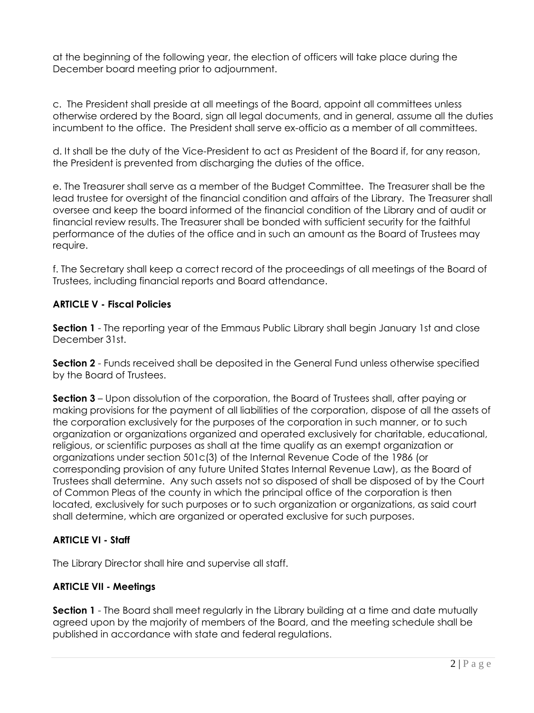at the beginning of the following year, the election of officers will take place during the December board meeting prior to adjournment.

c. The President shall preside at all meetings of the Board, appoint all committees unless otherwise ordered by the Board, sign all legal documents, and in general, assume all the duties incumbent to the office. The President shall serve ex-officio as a member of all committees.

d. It shall be the duty of the Vice-President to act as President of the Board if, for any reason, the President is prevented from discharging the duties of the office.

e. The Treasurer shall serve as a member of the Budget Committee. The Treasurer shall be the lead trustee for oversight of the financial condition and affairs of the Library. The Treasurer shall oversee and keep the board informed of the financial condition of the Library and of audit or financial review results. The Treasurer shall be bonded with sufficient security for the faithful performance of the duties of the office and in such an amount as the Board of Trustees may require.

f. The Secretary shall keep a correct record of the proceedings of all meetings of the Board of Trustees, including financial reports and Board attendance.

## **ARTICLE V - Fiscal Policies**

**Section 1** - The reporting year of the Emmaus Public Library shall begin January 1st and close December 31st.

**Section 2** - Funds received shall be deposited in the General Fund unless otherwise specified by the Board of Trustees.

**Section 3** – Upon dissolution of the corporation, the Board of Trustees shall, after paying or making provisions for the payment of all liabilities of the corporation, dispose of all the assets of the corporation exclusively for the purposes of the corporation in such manner, or to such organization or organizations organized and operated exclusively for charitable, educational, religious, or scientific purposes as shall at the time qualify as an exempt organization or organizations under section 501c(3) of the Internal Revenue Code of the 1986 (or corresponding provision of any future United States Internal Revenue Law), as the Board of Trustees shall determine. Any such assets not so disposed of shall be disposed of by the Court of Common Pleas of the county in which the principal office of the corporation is then located, exclusively for such purposes or to such organization or organizations, as said court shall determine, which are organized or operated exclusive for such purposes.

# **ARTICLE VI - Staff**

The Library Director shall hire and supervise all staff.

## **ARTICLE VII - Meetings**

**Section 1** - The Board shall meet regularly in the Library building at a time and date mutually agreed upon by the majority of members of the Board, and the meeting schedule shall be published in accordance with state and federal regulations.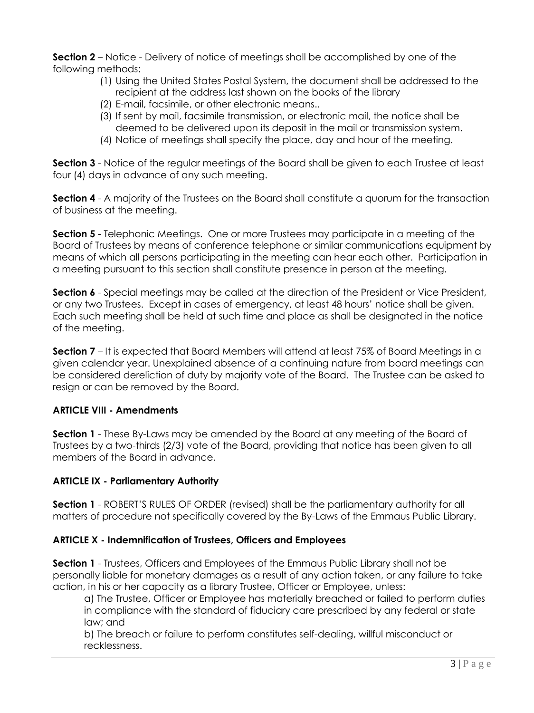**Section 2** – Notice - Delivery of notice of meetings shall be accomplished by one of the following methods:

- (1) Using the United States Postal System, the document shall be addressed to the recipient at the address last shown on the books of the library
- (2) E-mail, facsimile, or other electronic means..
- (3) If sent by mail, facsimile transmission, or electronic mail, the notice shall be deemed to be delivered upon its deposit in the mail or transmission system.
- (4) Notice of meetings shall specify the place, day and hour of the meeting.

**Section 3** - Notice of the regular meetings of the Board shall be given to each Trustee at least four (4) days in advance of any such meeting.

**Section 4** - A majority of the Trustees on the Board shall constitute a quorum for the transaction of business at the meeting.

**Section 5** - Telephonic Meetings. One or more Trustees may participate in a meeting of the Board of Trustees by means of conference telephone or similar communications equipment by means of which all persons participating in the meeting can hear each other. Participation in a meeting pursuant to this section shall constitute presence in person at the meeting.

**Section 6** - Special meetings may be called at the direction of the President or Vice President, or any two Trustees. Except in cases of emergency, at least 48 hours' notice shall be given. Each such meeting shall be held at such time and place as shall be designated in the notice of the meeting.

**Section 7** – It is expected that Board Members will attend at least 75% of Board Meetings in a given calendar year. Unexplained absence of a continuing nature from board meetings can be considered dereliction of duty by majority vote of the Board. The Trustee can be asked to resign or can be removed by the Board.

# **ARTICLE VIII - Amendments**

**Section 1** - These By-Laws may be amended by the Board at any meeting of the Board of Trustees by a two-thirds (2/3) vote of the Board, providing that notice has been given to all members of the Board in advance.

# **ARTICLE IX - Parliamentary Authority**

**Section 1** - ROBERT'S RULES OF ORDER (revised) shall be the parliamentary authority for all matters of procedure not specifically covered by the By-Laws of the Emmaus Public Library.

# **ARTICLE X - Indemnification of Trustees, Officers and Employees**

**Section 1** - Trustees, Officers and Employees of the Emmaus Public Library shall not be personally liable for monetary damages as a result of any action taken, or any failure to take action, in his or her capacity as a library Trustee, Officer or Employee, unless:

a) The Trustee, Officer or Employee has materially breached or failed to perform duties in compliance with the standard of fiduciary care prescribed by any federal or state law; and

b) The breach or failure to perform constitutes self-dealing, willful misconduct or recklessness.